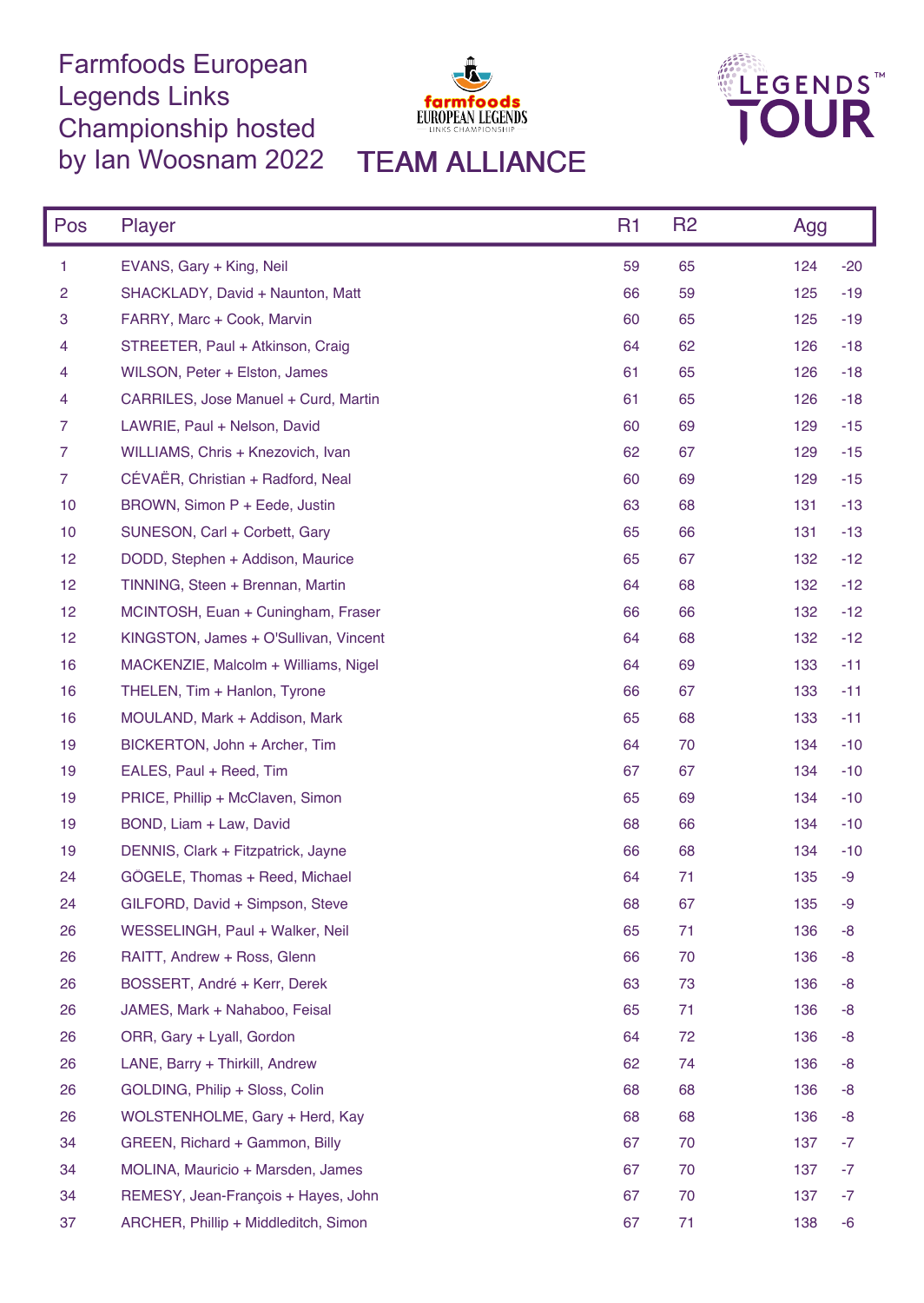## Farmfoods European Legends Links Championship hosted by Ian Woosnam 2022 TEAM ALLIANCE





| Pos            | Player                                | R <sub>1</sub> | R <sub>2</sub> | Agg          |
|----------------|---------------------------------------|----------------|----------------|--------------|
| 1              | EVANS, Gary + King, Neil              | 59             | 65             | 124<br>$-20$ |
| 2              | SHACKLADY, David + Naunton, Matt      | 66             | 59             | 125<br>$-19$ |
| 3              | FARRY, Marc + Cook, Marvin            | 60             | 65             | 125<br>$-19$ |
| 4              | STREETER, Paul + Atkinson, Craig      | 64             | 62             | 126<br>$-18$ |
| 4              | WILSON, Peter + Elston, James         | 61             | 65             | 126<br>$-18$ |
| 4              | CARRILES, Jose Manuel + Curd, Martin  | 61             | 65             | 126<br>$-18$ |
| 7              | LAWRIE, Paul + Nelson, David          | 60             | 69             | 129<br>$-15$ |
| 7              | WILLIAMS, Chris + Knezovich, Ivan     | 62             | 67             | 129<br>$-15$ |
| $\overline{7}$ | CÉVAËR, Christian + Radford, Neal     | 60             | 69             | 129<br>$-15$ |
| 10             | BROWN, Simon P + Eede, Justin         | 63             | 68             | 131<br>$-13$ |
| 10             | SUNESON, Carl + Corbett, Gary         | 65             | 66             | 131<br>$-13$ |
| 12             | DODD, Stephen + Addison, Maurice      | 65             | 67             | 132<br>$-12$ |
| 12             | TINNING, Steen + Brennan, Martin      | 64             | 68             | 132<br>$-12$ |
| 12             | MCINTOSH, Euan + Cuningham, Fraser    | 66             | 66             | 132<br>$-12$ |
| 12             | KINGSTON, James + O'Sullivan, Vincent | 64             | 68             | 132<br>$-12$ |
| 16             | MACKENZIE, Malcolm + Williams, Nigel  | 64             | 69             | 133<br>$-11$ |
| 16             | THELEN, Tim + Hanlon, Tyrone          | 66             | 67             | 133<br>$-11$ |
| 16             | MOULAND, Mark + Addison, Mark         | 65             | 68             | 133<br>$-11$ |
| 19             | BICKERTON, John + Archer, Tim         | 64             | 70             | 134<br>$-10$ |
| 19             | EALES, Paul + Reed, Tim               | 67             | 67             | 134<br>$-10$ |
| 19             | PRICE, Phillip + McClaven, Simon      | 65             | 69             | 134<br>$-10$ |
| 19             | BOND, Liam + Law, David               | 68             | 66             | 134<br>$-10$ |
| 19             | DENNIS, Clark + Fitzpatrick, Jayne    | 66             | 68             | 134<br>$-10$ |
| 24             | GÖGELE, Thomas + Reed, Michael        | 64             | 71             | 135<br>-9    |
| 24             | GILFORD, David + Simpson, Steve       | 68             | 67             | 135<br>-9    |
| 26             | WESSELINGH, Paul + Walker, Neil       | 65             | 71             | 136<br>-8    |
| 26             | RAITT, Andrew + Ross, Glenn           | 66             | 70             | 136<br>-8    |
| 26             | BOSSERT, André + Kerr, Derek          | 63             | 73             | 136<br>-8    |
| 26             | JAMES, Mark + Nahaboo, Feisal         | 65             | 71             | 136<br>-8    |
| 26             | ORR, Gary + Lyall, Gordon             | 64             | 72             | 136<br>-8    |
| 26             | LANE, Barry + Thirkill, Andrew        | 62             | 74             | 136<br>-8    |
| 26             | GOLDING, Philip + Sloss, Colin        | 68             | 68             | 136<br>-8    |
| 26             | WOLSTENHOLME, Gary + Herd, Kay        | 68             | 68             | 136<br>-8    |
| 34             | GREEN, Richard + Gammon, Billy        | 67             | 70             | 137<br>-7    |
| 34             | MOLINA, Mauricio + Marsden, James     | 67             | 70             | 137<br>-7    |
| 34             | REMESY, Jean-François + Hayes, John   | 67             | 70             | 137<br>-7    |
| 37             | ARCHER, Phillip + Middleditch, Simon  | 67             | 71             | 138<br>$-6$  |